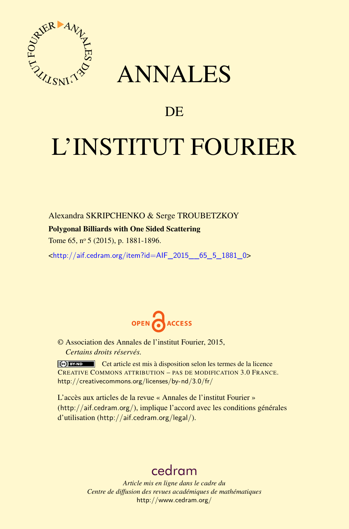

## ANNALES

### **DE**

# L'INSTITUT FOURIER

Alexandra SKRIPCHENKO & Serge TROUBETZKOY

#### Polygonal Billiards with One Sided Scattering

Tome 65, nº 5 (2015), p. 1881-1896.

 $\kappa$ http://aif.cedram.org/item?id=AIF 2015 65\_5\_1881\_0>



© Association des Annales de l'institut Fourier, 2015, *Certains droits réservés.*

Cet article est mis à disposition selon les termes de la licence CREATIVE COMMONS ATTRIBUTION – PAS DE MODIFICATION 3.0 FRANCE. <http://creativecommons.org/licenses/by-nd/3.0/fr/>

L'accès aux articles de la revue « Annales de l'institut Fourier » (<http://aif.cedram.org/>), implique l'accord avec les conditions générales d'utilisation (<http://aif.cedram.org/legal/>).

## [cedram](http://www.cedram.org/)

*Article mis en ligne dans le cadre du Centre de diffusion des revues académiques de mathématiques* <http://www.cedram.org/>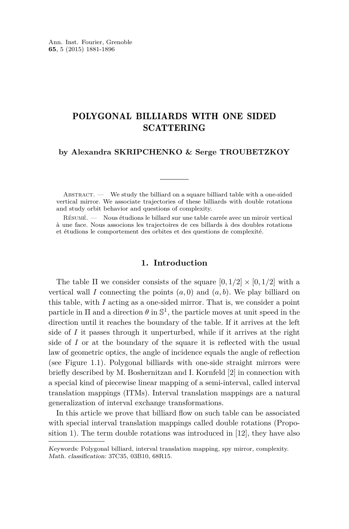#### POLYGONAL BILLIARDS WITH ONE SIDED SCATTERING

#### **by Alexandra SKRIPCHENKO & Serge TROUBETZKOY**

 $ABSTRACT.$  We study the billiard on a square billiard table with a one-sided vertical mirror. We associate trajectories of these billiards with double rotations and study orbit behavior and questions of complexity.

Résumé. — Nous étudions le billard sur une table carrée avec un miroir vertical à une face. Nous associons les trajectoires de ces billards à des doubles rotations et étudions le comportement des orbites et des questions de complexité.

#### **1. Introduction**

The table  $\Pi$  we consider consists of the square  $[0, 1/2] \times [0, 1/2]$  with a vertical wall *I* connecting the points  $(a, 0)$  and  $(a, b)$ . We play billiard on this table, with *I* acting as a one-sided mirror. That is, we consider a point particle in  $\Pi$  and a direction  $\theta$  in  $\mathbb{S}^1$ , the particle moves at unit speed in the direction until it reaches the boundary of the table. If it arrives at the left side of *I* it passes through it unperturbed, while if it arrives at the right side of *I* or at the boundary of the square it is reflected with the usual law of geometric optics, the angle of incidence equals the angle of reflection (see Figure [1.1\)](#page-2-0). Polygonal billiards with one-side straight mirrors were briefly described by M. Boshernitzan and I. Kornfeld [\[2\]](#page-15-0) in connection with a special kind of piecewise linear mapping of a semi-interval, called interval translation mappings (ITMs). Interval translation mappings are a natural generalization of interval exchange transformations.

In this article we prove that billiard flow on such table can be associated with special interval translation mappings called double rotations (Proposition 1). The term double rotations was introduced in [\[12\]](#page-16-0), they have also

Keywords: Polygonal billiard, interval translation mapping, spy mirror, complexity. Math. classification: 37C35, 03B10, 68R15.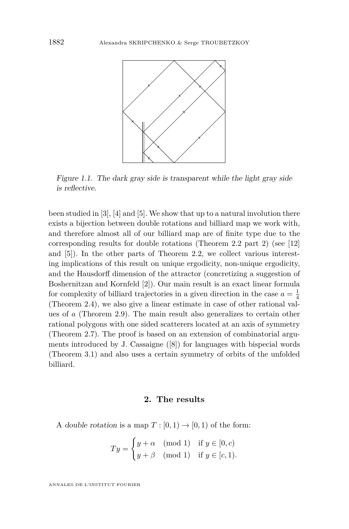<span id="page-2-0"></span>

Figure 1.1. The dark gray side is transparent while the light gray side is reflective.

been studied in [\[3\]](#page-15-0), [\[4\]](#page-15-0) and [\[5\]](#page-15-0). We show that up to a natural involution there exists a bijection between double rotations and billiard map we work with, and therefore almost all of our billiard map are of finite type due to the corresponding results for double rotations (Theorem [2.2](#page-5-0) part 2) (see [\[12\]](#page-16-0) and [\[5\]](#page-15-0)). In the other parts of Theorem [2.2,](#page-5-0) we collect various interesting implications of this result on unique ergodicity, non-unique ergodicity, and the Hausdorff dimension of the attractor (concretizing a suggestion of Boshernitzan and Kornfeld [\[2\]](#page-15-0)). Our main result is an exact linear formula for complexity of billiard trajectories in a given direction in the case  $a = \frac{1}{4}$ (Theorem [2.4\)](#page-7-0), we also give a linear estimate in case of other rational values of *a* (Theorem [2.9\)](#page-9-0). The main result also generalizes to certain other rational polygons with one sided scatterers located at an axis of symmetry (Theorem [2.7\)](#page-8-0). The proof is based on an extension of combinatorial arguments introduced by J. Cassaigne  $([8])$  $([8])$  $([8])$  for languages with bispecial words (Theorem [3.1\)](#page-10-0) and also uses a certain symmetry of orbits of the unfolded billiard.

#### **2. The results**

A double rotation is a map  $T : [0,1) \to [0,1)$  of the form:

$$
Ty = \begin{cases} y + \alpha & \text{(mod 1)} \quad \text{if } y \in [0, c) \\ y + \beta & \text{(mod 1)} \quad \text{if } y \in [c, 1). \end{cases}
$$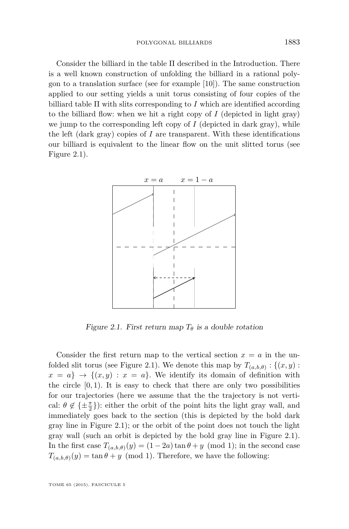<span id="page-3-0"></span>Consider the billiard in the table Π described in the Introduction. There is a well known construction of unfolding the billiard in a rational polygon to a translation surface (see for example [\[10\]](#page-16-0)). The same construction applied to our setting yields a unit torus consisting of four copies of the billiard table  $\Pi$  with slits corresponding to *I* which are identified according to the billiard flow: when we hit a right copy of *I* (depicted in light gray) we jump to the corresponding left copy of  $I$  (depicted in dark gray), while the left (dark gray) copies of  $I$  are transparent. With these identifications our billiard is equivalent to the linear flow on the unit slitted torus (see Figure 2.1).



Figure 2.1. First return map  $T_{\theta}$  is a double rotation

Consider the first return map to the vertical section  $x = a$  in the unfolded slit torus (see Figure 2.1). We denote this map by  $T_{(a,b,\theta)}: \{(x,y) :$  $x = a$   $\rightarrow \{ (x, y) : x = a \}.$  We identify its domain of definition with the circle  $[0, 1)$ . It is easy to check that there are only two possibilities for our trajectories (here we assume that the the trajectory is not vertical:  $\theta \notin {\pm \frac{\pi}{2}}$ : either the orbit of the point hits the light gray wall, and immediately goes back to the section (this is depicted by the bold dark gray line in Figure 2.1); or the orbit of the point does not touch the light gray wall (such an orbit is depicted by the bold gray line in Figure 2.1). In the first case  $T_{(a,b,\theta)}(y) = (1-2a) \tan \theta + y \pmod{1}$ ; in the second case  $T_{(a,b,\theta)}(y) = \tan \theta + y \pmod{1}$ . Therefore, we have the following: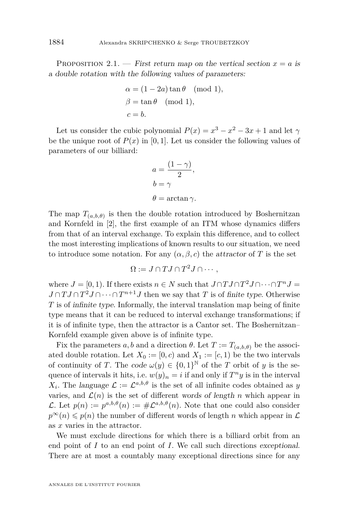PROPOSITION 2.1. — First return map on the vertical section  $x = a$  is a double rotation with the following values of parameters:

$$
\alpha = (1 - 2a) \tan \theta \pmod{1},
$$
  
\n
$$
\beta = \tan \theta \pmod{1},
$$
  
\n
$$
c = b.
$$

Let us consider the cubic polynomial  $P(x) = x^3 - x^2 - 3x + 1$  and let  $\gamma$ be the unique root of  $P(x)$  in [0, 1]. Let us consider the following values of parameters of our billiard:

$$
a = \frac{(1 - \gamma)}{2},
$$
  
\n
$$
b = \gamma
$$
  
\n
$$
\theta = \arctan \gamma.
$$

The map  $T_{(a,b,\theta)}$  is then the double rotation introduced by Boshernitzan and Kornfeld in [\[2\]](#page-15-0), the first example of an ITM whose dynamics differs from that of an interval exchange. To explain this difference, and to collect the most interesting implications of known results to our situation, we need to introduce some notation. For any  $(\alpha, \beta, c)$  the attractor of *T* is the set

$$
\Omega := J \cap TJ \cap T^2J \cap \cdots,
$$

where  $J = [0, 1)$ . If there exists  $n \in N$  such that  $J \cap TJ \cap T^2J \cap \cdots \cap T^nJ =$  $J \cap T J \cap T^2 J \cap \cdots \cap T^{n+1} J$  then we say that *T* is of finite type. Otherwise *T* is of infinite type. Informally, the interval translation map being of finite type means that it can be reduced to interval exchange transformations; if it is of infinite type, then the attractor is a Cantor set. The Boshernitzan– Kornfeld example given above is of infinite type.

Fix the parameters *a*, *b* and a direction  $\theta$ . Let  $T := T_{(a,b,\theta)}$  be the associated double rotation. Let  $X_0 := [0, c)$  and  $X_1 := [c, 1)$  be the two intervals of continuity of *T*. The code  $\omega(y) \in \{0,1\}^{\mathbb{N}}$  of the *T* orbit of *y* is the sequence of intervals it hits, i.e.  $w(y)_n = i$  if and only if  $T^n y$  is in the interval *X*<sub>*i*</sub>. The language  $\mathcal{L} := \mathcal{L}^{a,b,\theta}$  is the set of all infinite codes obtained as *y* varies, and  $\mathcal{L}(n)$  is the set of different words of length *n* which appear in L. Let  $p(n) := p^{a,b,\theta}(n) := \# \mathcal{L}^{a,b,\theta}(n)$ . Note that one could also consider  $p^{\infty}(n) \leq p(n)$  the number of different words of length *n* which appear in  $\mathcal{L}$ as *x* varies in the attractor.

We must exclude directions for which there is a billiard orbit from an end point of *I* to an end point of *I*. We call such directions exceptional. There are at most a countably many exceptional directions since for any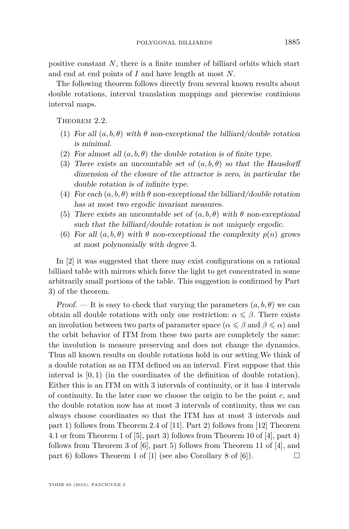<span id="page-5-0"></span>positive constant *N*, there is a finite number of billiard orbits which start and end at end points of *I* and have length at most *N*.

The following theorem follows directly from several known results about double rotations, interval translation mappings and piecewise continious interval maps.

THEOREM 2.2.

- (1) For all  $(a, b, \theta)$  with  $\theta$  non-exceptional the billiard/double rotation is minimal.
- (2) For almost all  $(a, b, \theta)$  the double rotation is of finite type.
- (3) There exists an uncountable set of  $(a, b, \theta)$  so that the Hausdorff dimension of the closure of the attractor is zero, in particular the double rotation is of infinite type.
- (4) For each  $(a, b, \theta)$  with  $\theta$  non-exceptional the billiard/double rotation has at most two ergodic invariant measures.
- (5) There exists an uncountable set of  $(a, b, \theta)$  with  $\theta$  non-exceptional such that the billiard/double rotation is not uniquely ergodic.
- (6) For all  $(a, b, \theta)$  with  $\theta$  non-exceptional the complexity  $p(n)$  grows at most polynomially with degree 3.

In [\[2\]](#page-15-0) it was suggested that there may exist configurations on a rational billiard table with mirrors which force the light to get concentrated in some arbitrarily small portions of the table. This suggestion is confirmed by Part 3) of the theorem.

Proof. — It is easy to check that varying the parameters  $(a, b, \theta)$  we can obtain all double rotations with only one restriction:  $\alpha \leq \beta$ . There exists an involution between two parts of parameter space  $(\alpha \leq \beta \text{ and } \beta \leq \alpha)$  and the orbit behavior of ITM from these two parts are completely the same: the involution is measure preserving and does not change the dynamics. Thus all known results on double rotations hold in our setting.We think of a double rotation as an ITM defined on an interval. First suppose that this interval is [0*,* 1) (in the coordinates of the definition of double rotation). Either this is an ITM on with 3 intervals of continuity, or it has 4 intervals of continuity. In the later case we choose the origin to be the point *c*, and the double rotation now has at most 3 intervals of continuity, thus we can always choose coordinates so that the ITM has at most 3 intervals and part 1) follows from Theorem 2.4 of [\[11\]](#page-16-0). Part 2) follows from [\[12\]](#page-16-0) Theorem 4.1 or from Theorem 1 of [\[5\]](#page-15-0), part 3) follows from Theorem 10 of [\[4\]](#page-15-0), part 4) follows from Theorem 3 of  $[6]$ , part 5) follows from Theorem 11 of  $[4]$ , and part 6) follows Theorem 1 of [\[1\]](#page-15-0) (see also Corollary 8 of [\[6\]](#page-16-0)).  $\Box$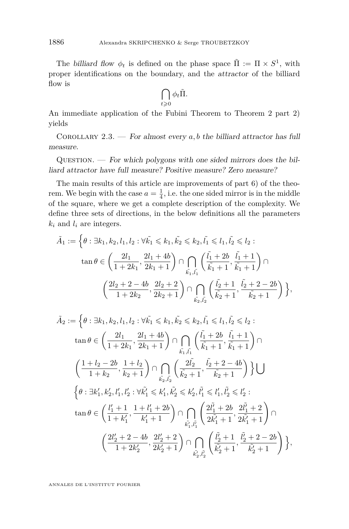The billiard flow  $\phi_t$  is defined on the phase space  $\tilde{\Pi} := \Pi \times S^1$ , with proper identifications on the boundary, and the attractor of the billiard flow is

$$
\bigcap_{t\geqslant 0}\phi_t\tilde{\Pi}.
$$

An immediate application of the Fubini Theorem to Theorem 2 part 2) yields

COROLLARY 2.3. — For almost every  $a, b$  the billiard attractor has full measure.

 $QUESTION.$  — For which polygons with one sided mirrors does the billiard attractor have full measure? Positive measure? Zero measure?

The main results of this article are improvements of part 6) of the theorem. We begin with the case  $a = \frac{1}{4}$ , i.e. the one sided mirror is in the middle of the square, where we get a complete description of the complexity. We define three sets of directions, in the below definitions all the parameters  $k_i$  and  $l_i$  are integers.

$$
\tilde{A}_1 := \left\{ \theta : \exists k_1, k_2, l_1, l_2 : \forall \tilde{k_1} \leq k_1, \tilde{k_2} \leq k_2, \tilde{l_1} \leq l_1, \tilde{l_2} \leq l_2 : \right.
$$
\n
$$
\tan \theta \in \left( \frac{2l_1}{1 + 2k_1}, \frac{2l_1 + 4b}{2k_1 + 1} \right) \cap \bigcap_{\tilde{k_1}, \tilde{l_1}} \left( \frac{\tilde{l_1} + 2b}{\tilde{k_1} + 1}, \frac{\tilde{l_1} + 1}{\tilde{k_1} + 1} \right) \cap \left( \frac{2l_2 + 2 - 4b}{1 + 2k_2}, \frac{2l_2 + 2}{2k_2 + 1} \right) \cap \bigcap_{\tilde{k_2}, \tilde{l_2}} \left( \frac{\tilde{l_2} + 1}{\tilde{k_2} + 1}, \frac{\tilde{l_2} + 2 - 2b}{\tilde{k_2} + 1} \right) \right\},
$$

$$
\tilde{A}_2 := \left\{ \theta : \exists k_1, k_2, l_1, l_2 : \forall \tilde{k_1} \leqslant k_1, \tilde{k_2} \leqslant k_2, \tilde{l_1} \leqslant l_1, \tilde{l_2} \leqslant l_2 : \right.
$$
\n
$$
\tan \theta \in \left( \frac{2l_1}{1 + 2k_1}, \frac{2l_1 + 4b}{2k_1 + 1} \right) \cap \bigcap_{\tilde{k_1}, \tilde{l_1}} \left( \frac{\tilde{l_1} + 2b}{\tilde{k_1} + 1}, \frac{\tilde{l_1} + 1}{\tilde{k_1} + 1} \right) \cap \left( \frac{1 + l_2 - 2b}{1 + k_2}, \frac{1 + l_2}{k_2 + 1} \right) \cap \bigcap_{\tilde{k_2}, \tilde{l_2}} \left( \frac{2\tilde{l_2}}{\tilde{k_2} + 1}, \frac{\tilde{l_2} + 2 - 4b}{\tilde{k_2} + 1} \right) \right\} \bigcup
$$
\n
$$
\left\{ \theta : \exists k'_1, k'_2, l'_1, l'_2 : \forall \tilde{k'_1} \leqslant k'_1, \tilde{k'_2} \leqslant k'_2, \tilde{l'_1} \leqslant l'_1, \tilde{l'_2} \leqslant l'_2 : \right.
$$
\n
$$
\tan \theta \in \left( \frac{l'_1 + 1}{1 + k'_1}, \frac{1 + l'_1 + 2b}{k'_1 + 1} \right) \cap \bigcap_{\tilde{k'_1}, \tilde{l'_1}} \left( \frac{2\tilde{l'_1} + 2b}{2\tilde{k'_1} + 1}, \frac{2\tilde{l'_1} + 2}{2\tilde{k'_1} + 1} \right) \cap \left( \frac{2l'_2 + 2 - 4b}{1 + 2k'_2}, \frac{2l'_2 + 2}{2k'_2 + 1} \right) \cap \bigcap_{\tilde{k'_2}, \tilde{l'_2}} \left( \frac{\tilde{l'_2} + 1}{\tilde{k'_2} + 1}, \frac{\tilde{l'_2} + 2 - 2b}{\tilde{k'_2} + 1} \right) \right\},
$$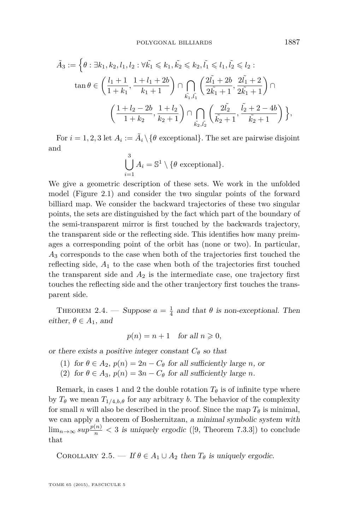<span id="page-7-0"></span>
$$
\tilde{A}_3 := \left\{ \theta : \exists k_1, k_2, l_1, l_2 : \forall \tilde{k_1} \leq k_1, \tilde{k_2} \leq k_2, \tilde{l_1} \leq l_1, \tilde{l_2} \leq l_2 : \right.
$$
\n
$$
\tan \theta \in \left( \frac{l_1 + 1}{1 + k_1}, \frac{1 + l_1 + 2b}{k_1 + 1} \right) \cap \bigcap_{\tilde{k_1}, \tilde{l_1}} \left( \frac{2\tilde{l_1} + 2b}{2\tilde{k_1} + 1}, \frac{2\tilde{l_1} + 2}{2\tilde{k_1} + 1} \right) \cap \left( \frac{1 + l_2 - 2b}{1 + k_2}, \frac{1 + l_2}{k_2 + 1} \right) \cap \bigcap_{\tilde{k_2}, \tilde{l_2}} \left( \frac{2\tilde{l_2}}{\tilde{k_2} + 1}, \frac{\tilde{l_2} + 2 - 4b}{\tilde{k_2} + 1} \right) \right\},
$$

For  $i = 1, 2, 3$  let  $A_i := \tilde{A}_i \setminus \{\theta \text{ exceptional}\}.$  The set are pairwise disjoint and

$$
\bigcup_{i=1}^{3} A_i = \mathbb{S}^1 \setminus \{ \theta \text{ exceptional} \}.
$$

We give a geometric description of these sets. We work in the unfolded model (Figure [2.1\)](#page-3-0) and consider the two singular points of the forward billiard map. We consider the backward trajectories of these two singular points, the sets are distinguished by the fact which part of the boundary of the semi-transparent mirror is first touched by the backwards trajectory, the transparent side or the reflecting side. This identifies how many preimages a corresponding point of the orbit has (none or two). In particular, *A*<sup>3</sup> corresponds to the case when both of the trajectories first touched the reflecting side,  $A_1$  to the case when both of the trajectories first touched the transparent side and  $A_2$  is the intermediate case, one trajectory first touches the reflecting side and the other tranjectory first touches the transparent side.

THEOREM 2.4. — Suppose  $a = \frac{1}{4}$  and that  $\theta$  is non-exceptional. Then either,  $\theta \in A_1$ , and

$$
p(n) = n + 1 \quad \text{for all } n \geqslant 0,
$$

or there exists a positive integer constant  $C_{\theta}$  so that

- (1) for  $\theta \in A_2$ ,  $p(n) = 2n C_\theta$  for all sufficiently large *n*, or
- (2) for  $\theta \in A_3$ ,  $p(n) = 3n C_\theta$  for all sufficiently large *n*.

Remark, in cases 1 and 2 the double rotation  $T_{\theta}$  is of infinite type where by  $T_{\theta}$  we mean  $T_{1/4,b,\theta}$  for any arbitrary *b*. The behavior of the complexity for small *n* will also be described in the proof. Since the map  $T_{\theta}$  is minimal, we can apply a theorem of Boshernitzan, a minimal symbolic system with  $\lim_{n\to\infty} sup\frac{p(n)}{n} < 3$  is uniquely ergodic ([\[9,](#page-16-0) Theorem 7.3.3]) to conclude that

COROLLARY 2.5. — If  $\theta \in A_1 \cup A_2$  then  $T_\theta$  is uniquely ergodic.

TOME 65 (2015), FASCICULE 5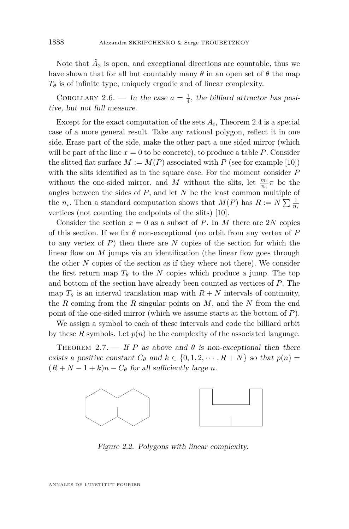<span id="page-8-0"></span>Note that  $\tilde{A}_2$  is open, and exceptional directions are countable, thus we have shown that for all but countably many  $\theta$  in an open set of  $\theta$  the map  $T_{\theta}$  is of infinite type, uniquely ergodic and of linear complexity.

COROLLARY 2.6. — In the case  $a = \frac{1}{4}$ , the billiard attractor has positive, but not full measure.

Except for the exact computation of the sets  $A_i$ , Theorem [2.4](#page-7-0) is a special case of a more general result. Take any rational polygon, reflect it in one side. Erase part of the side, make the other part a one sided mirror (which will be part of the line  $x = 0$  to be concrete), to produce a table  $P$ . Consider the slitted flat surface  $M := M(P)$  associated with P (see for example [\[10\]](#page-16-0)) with the slits identified as in the square case. For the moment consider *P* without the one-sided mirror, and *M* without the slits, let  $\frac{m_i}{n_i}\pi$  be the angles between the sides of *P*, and let *N* be the least common multiple of the  $n_i$ . Then a standard computation shows that  $M(P)$  has  $R := N \sum_{n_i} \frac{1}{n_i}$ vertices (not counting the endpoints of the slits) [\[10\]](#page-16-0).

Consider the section  $x = 0$  as a subset of *P*. In *M* there are 2*N* copies of this section. If we fix *θ* non-exceptional (no orbit from any vertex of *P* to any vertex of *P*) then there are *N* copies of the section for which the linear flow on *M* jumps via an identification (the linear flow goes through the other  $N$  copies of the section as if they where not there). We consider the first return map  $T_{\theta}$  to the *N* copies which produce a jump. The top and bottom of the section have already been counted as vertices of  $P$ . The map  $T_{\theta}$  is an interval translation map with  $R + N$  intervals of continuity, the  $R$  coming from the  $R$  singular points on  $M$ , and the  $N$  from the end point of the one-sided mirror (which we assume starts at the bottom of  $P$ ).

We assign a symbol to each of these intervals and code the billiard orbit  $\frac{1}{2}$ by these  $R$  symbols. Let  $p(n)$  be the complexity of the associated language. We assign a symbol to each of these meet vals and code the  $\begin{bmatrix} 1 & 0 & 0 \\ 0 & 0 & 0 \end{bmatrix}$ 

THEOREM 2.7. — If *P* as above and  $\theta$  is non-exceptional then there exists a positive constant  $C_{\theta}$  and  $k \in \{0, 1, 2, \cdots, R + N\}$  so that  $p(n) =$  $(R + N - 1 + k)n - C_{\theta}$  for all sufficiently large *n*.



Figure 2.2. Polygons with linear complexity.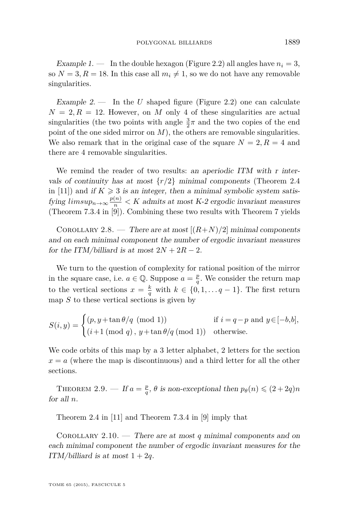<span id="page-9-0"></span>Example 1. — In the double hexagon (Figure [2.2\)](#page-8-0) all angles have  $n_i = 3$ , so  $N = 3, R = 18$ . In this case all  $m_i \neq 1$ , so we do not have any removable singularities.

Example 2. — In the *U* shaped figure (Figure [2.2\)](#page-8-0) one can calculate  $N = 2, R = 12$ . However, on *M* only 4 of these singularities are actual singularities (the two points with angle  $\frac{3}{2}\pi$  and the two copies of the end point of the one sided mirror on *M*), the others are removable singularities. We also remark that in the original case of the square  $N = 2, R = 4$  and there are 4 removable singularities.

We remind the reader of two results: an aperiodic ITM with r intervals of continuity has at most  $\{r/2\}$  minimal components (Theorem 2.4) in [\[11\]](#page-16-0)) and if  $K \geq 3$  is an integer, then a minimal symbolic system satisfying  $limsup_{n\to\infty} \frac{p(n)}{n} < K$  admits at most K-2 ergodic invariant measures (Theorem 7.3.4 in [\[9\]](#page-16-0)). Combining these two results with Theorem 7 yields

COROLLARY 2.8. — There are at most  $[(R+N)/2]$  minimal components and on each minimal component the number of ergodic invariant measures for the ITM/billiard is at most  $2N + 2R - 2$ .

We turn to the question of complexity for rational position of the mirror in the square case, i.e.  $a \in \mathbb{Q}$ . Suppose  $a = \frac{p}{q}$ . We consider the return map to the vertical sections  $x = \frac{k}{q}$  with  $k \in \{0, 1, \ldots q - 1\}$ . The first return map *S* to these vertical sections is given by

$$
S(i, y) = \begin{cases} (p, y + \tan \theta/q \pmod{1}) & \text{if } i = q - p \text{ and } y \in [-b, b], \\ (i+1 \pmod{q}, y + \tan \theta/q \pmod{1}) & \text{otherwise.} \end{cases}
$$

We code orbits of this map by a 3 letter alphabet, 2 letters for the section  $x = a$  (where the map is discontinuous) and a third letter for all the other sections.

THEOREM 2.9. — If  $a = \frac{p}{q}$ ,  $\theta$  is non-exceptional then  $p_{\theta}(n) \leq (2 + 2q)n$ for all *n*.

Theorem 2.4 in [\[11\]](#page-16-0) and Theorem 7.3.4 in [\[9\]](#page-16-0) imply that

Corollary 2.10. — There are at most *q* minimal components and on each minimal component the number of ergodic invariant measures for the ITM/billiard is at most  $1 + 2q$ .

TOME 65 (2015), FASCICULE 5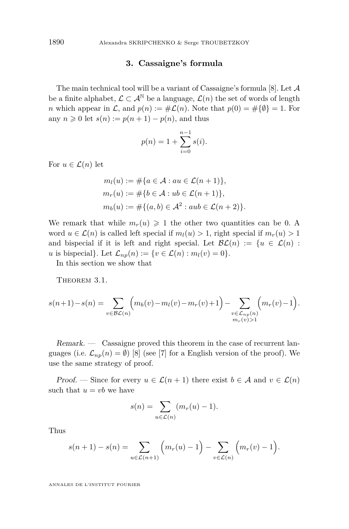#### **3. Cassaigne's formula**

<span id="page-10-0"></span>The main technical tool will be a variant of Cassaigne's formula  $[8]$ . Let  $\mathcal A$ be a finite alphabet,  $\mathcal{L} \subset \mathcal{A}^{\mathbb{N}}$  be a language,  $\mathcal{L}(n)$  the set of words of length *n* which appear in  $\mathcal{L}$ , and  $p(n) := #\mathcal{L}(n)$ . Note that  $p(0) = #\{\emptyset\} = 1$ . For any  $n \geq 0$  let  $s(n) := p(n+1) - p(n)$ , and thus

$$
p(n) = 1 + \sum_{i=0}^{n-1} s(i).
$$

For  $u \in \mathcal{L}(n)$  let

$$
m_l(u) := #\{a \in \mathcal{A} : au \in \mathcal{L}(n+1)\},
$$
  
\n
$$
m_r(u) := #\{b \in \mathcal{A} : ub \in \mathcal{L}(n+1)\},
$$
  
\n
$$
m_b(u) := #\{(a, b) \in \mathcal{A}^2 : aub \in \mathcal{L}(n+2)\}.
$$

We remark that while  $m_r(u) \geq 1$  the other two quantities can be 0. A word  $u \in \mathcal{L}(n)$  is called left special if  $m_l(u) > 1$ , right special if  $m_r(u) > 1$ and bispecial if it is left and right special. Let  $\mathcal{BL}(n) := \{u \in \mathcal{L}(n) :$ *u* is bispecial}. Let  $\mathcal{L}_{np}(n) := \{ v \in \mathcal{L}(n) : m_l(v) = 0 \}.$ 

In this section we show that

THEOREM 3.1.

$$
s(n+1) - s(n) = \sum_{v \in \mathcal{BL}(n)} \Big( m_b(v) - m_l(v) - m_r(v) + 1 \Big) - \sum_{\substack{v \in \mathcal{L}_{np}(n) \\ m_r(v) > 1}} \Big( m_r(v) - 1 \Big).
$$

Remark. — Cassaigne proved this theorem in the case of recurrent languages (i.e.  $\mathcal{L}_{np}(n) = \emptyset$ ) [\[8\]](#page-16-0) (see [\[7\]](#page-16-0) for a English version of the proof). We use the same strategy of proof.

Proof. — Since for every  $u \in \mathcal{L}(n+1)$  there exist  $b \in \mathcal{A}$  and  $v \in \mathcal{L}(n)$ such that  $u = vb$  we have

$$
s(n) = \sum_{u \in \mathcal{L}(n)} (m_r(u) - 1).
$$

Thus

$$
s(n + 1) - s(n) = \sum_{u \in \mathcal{L}(n+1)} \left( m_r(u) - 1 \right) - \sum_{v \in \mathcal{L}(n)} \left( m_r(v) - 1 \right).
$$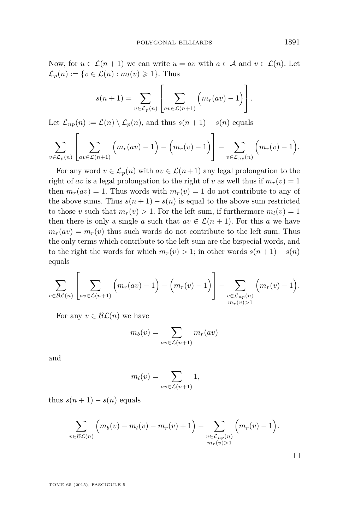Now, for  $u \in \mathcal{L}(n+1)$  we can write  $u = av$  with  $a \in \mathcal{A}$  and  $v \in \mathcal{L}(n)$ . Let  $\mathcal{L}_p(n) := \{v \in \mathcal{L}(n) : m_l(v) \geq 1\}.$  Thus

$$
s(n+1) = \sum_{v \in \mathcal{L}_p(n)} \left[ \sum_{av \in \mathcal{L}(n+1)} \left( m_r(av) - 1 \right) \right].
$$

Let  $\mathcal{L}_{np}(n) := \mathcal{L}(n) \setminus \mathcal{L}_p(n)$ , and thus  $s(n+1) - s(n)$  equals

$$
\sum_{v \in \mathcal{L}_p(n)} \left[ \sum_{av \in \mathcal{L}(n+1)} \left( m_r(av) - 1 \right) - \left( m_r(v) - 1 \right) \right] - \sum_{v \in \mathcal{L}_{np}(n)} \left( m_r(v) - 1 \right).
$$

For any word  $v \in \mathcal{L}_p(n)$  with  $av \in \mathcal{L}(n+1)$  any legal prolongation to the right of *av* is a legal prolongation to the right of *v* as well thus if  $m_r(v) = 1$ then  $m_r(av) = 1$ . Thus words with  $m_r(v) = 1$  do not contribute to any of the above sums. Thus  $s(n+1) - s(n)$  is equal to the above sum restricted to those *v* such that  $m_r(v) > 1$ . For the left sum, if furthermore  $m_l(v) = 1$ then there is only a single *a* such that  $av \in \mathcal{L}(n+1)$ . For this *a* we have  $m_r(av) = m_r(v)$  thus such words do not contribute to the left sum. Thus the only terms which contribute to the left sum are the bispecial words, and to the right the words for which  $m_r(v) > 1$ ; in other words  $s(n+1) - s(n)$ equals

$$
\sum_{v \in \mathcal{BL}(n)} \left[ \sum_{av \in \mathcal{L}(n+1)} \left( m_r(av) - 1 \right) - \left( m_r(v) - 1 \right) \right] - \sum_{\substack{v \in \mathcal{L}_{np}(n) \\ m_r(v) > 1}} \left( m_r(v) - 1 \right).
$$

For any  $v \in \mathcal{BL}(n)$  we have

$$
m_b(v) = \sum_{av \in \mathcal{L}(n+1)} m_r(av)
$$

and

$$
m_l(v) = \sum_{av \in \mathcal{L}(n+1)} 1,
$$

thus  $s(n+1) - s(n)$  equals

$$
\sum_{v \in \mathcal{BL}(n)} \left( m_b(v) - m_l(v) - m_r(v) + 1 \right) - \sum_{\substack{v \in \mathcal{L}_{np}(n) \\ m_r(v) > 1}} \left( m_r(v) - 1 \right).
$$

TOME 65 (2015), FASCICULE 5

 $\Box$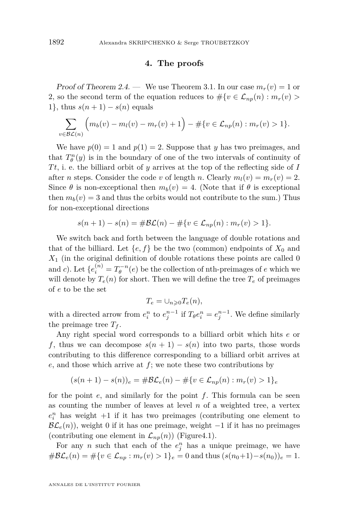#### **4. The proofs**

Proof of Theorem [2.4.](#page-7-0) — We use Theorem [3.1.](#page-10-0) In our case  $m_r(v) = 1$  or 2, so the second term of the equation reduces to  $\#\{v \in \mathcal{L}_{np}(n) : m_r(v) > \}$ 1}, thus  $s(n+1) - s(n)$  equals

$$
\sum_{v \in \mathcal{BL}(n)} \left( m_b(v) - m_l(v) - m_r(v) + 1 \right) - \# \{ v \in \mathcal{L}_{np}(n) : m_r(v) > 1 \}.
$$

We have  $p(0) = 1$  and  $p(1) = 2$ . Suppose that *y* has two preimages, and that  $T_{\theta}^{n}(y)$  is in the boundary of one of the two intervals of continuity of *T t*, i. e. the billiard orbit of *y* arrives at the top of the reflecting side of *I* after *n* steps. Consider the code *v* of length *n*. Clearly  $m_l(v) = m_r(v) = 2$ . Since  $\theta$  is non-exceptional then  $m_b(v) = 4$ . (Note that if  $\theta$  is exceptional then  $m_b(v) = 3$  and thus the orbits would not contribute to the sum.) Thus for non-exceptional directions

$$
s(n + 1) - s(n) = \# \mathcal{BL}(n) - \# \{ v \in \mathcal{L}_{np}(n) : m_r(v) > 1 \}.
$$

We switch back and forth between the language of double rotations and that of the billiard. Let  ${e, f}$  be the two (common) endpoints of  $X_0$  and  $X_1$  (in the original definition of double rotations these points are called 0 and *c*). Let  $\{e_i^{(n)} = T_{\theta}^{-n}(e)$  be the collection of nth-preimages of *e* which we will denote by  $T_e(n)$  for short. Then we will define the tree  $T_e$  of preimages of *e* to be the set

$$
T_e = \cup_{n \geqslant 0} T_e(n),
$$

with a directed arrow from  $e_i^n$  to  $e_j^{n-1}$  if  $T_{\theta}e_i^n = e_j^{n-1}$ . We define similarly the preimage tree  $T_f$ .

Any right special word corresponds to a billiard orbit which hits *e* or *f*, thus we can decompose  $s(n + 1) - s(n)$  into two parts, those words contributing to this difference corresponding to a billiard orbit arrives at *e*, and those which arrive at *f*; we note these two contributions by

$$
(s(n+1) - s(n))_e = \# \mathcal{BL}_e(n) - \# \{ v \in \mathcal{L}_{np}(n) : m_r(v) > 1 \}_e
$$

for the point *e*, and similarly for the point *f*. This formula can be seen as counting the number of leaves at level *n* of a weighted tree, a vertex  $e_i^n$  has weight  $+1$  if it has two preimages (contributing one element to  $\mathcal{BL}_e(n)$ , weight 0 if it has one preimage, weight  $-1$  if it has no preimages (contributing one element in  $\mathcal{L}_{np}(n)$ ) (Figur[e4.1\)](#page-13-0).

For any *n* such that each of the  $e_j^n$  has a unique preimage, we have  $# \mathcal{BL}_e(n) = # \{ v \in \mathcal{L}_{np} : m_r(v) > 1 \}_e = 0$  and thus  $(s(n_0+1) - s(n_0))_e = 1$ .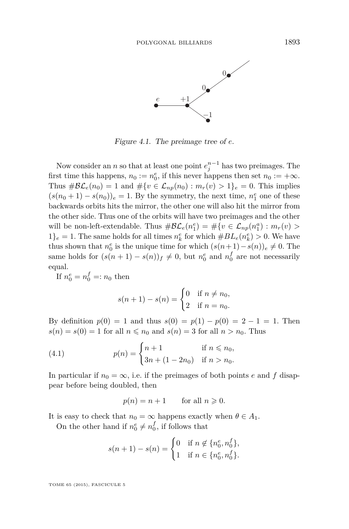<span id="page-13-0"></span>

Figure 4. The preimage tree of e. Figure 4.1. The preimage tree of *e*.

Now consider an *n* so that at least one point  $e_j^{n-1}$  has two preimages. The first time this happens,  $n_0 := n_0^e$ , if this never happens then set  $n_0 := +\infty$ . Thus  $\#\mathcal{BL}_e(n_0) = 1$  and  $\#\{v \in \mathcal{L}_{np}(n_0) : m_r(v) > 1\}_e = 0$ . This implies  $(s(n_0+1) - s(n_0))_e = 1$ . By the symmetry, the next time,  $n_1^e$  one of these backwards orbits hits the mirror, the other one will also hit the mirror from the other side. Thus one of the orbits will have two preimages and the other will be non-left-extendable. Thus  $\#\mathcal{BL}_e(n_1^e) = \#\{v \in \mathcal{L}_{np}(n_1^a) : m_r(v) >$  $1\}_e = 1$ . The same holds for all times  $n_k^e$  for which  $#BL_e(n_k^e) > 0$ . We have  $f_{fe} = 1$ . The same holds for all times  $h_k$  for which  $\#DE_e(h_k) > 0$ . We have<br>thus shown that  $n_e^e$  is the unique time for which  $\left( s(n+1) - s(n) \right) \neq 0$ . The thus shown that  $n_0^e$  is the unique time for which  $(s(n+1)-s(n))_e \neq 0$ . The same holds for  $(s(n + 1) - s(n))_f \neq 0$ , but  $n_0^e$  and  $n_0^f$  are not necessarily  $\mathbf{equal.}$ equal.

If  $n_0^e = n_0^f =: n_0$  then

$$
s(n + 1) - s(n) = \begin{cases} 0 & \text{if } n \neq n_0, \\ 2 & \text{if } n = n_0. \end{cases}
$$

By definition  $p(0) = 1$  and thus  $s(0) = p(1) - p(0) = 2 - 1 = 1$ . Then  $s(n) = s(0) = 1$  for all  $n \leq n_0$  and  $s(n) = 3$  for all  $n > n_0$ . Thus

(4.1) 
$$
p(n) = \begin{cases} n+1 & \text{if } n \le n_0, \\ 3n + (1-2n_0) & \text{if } n > n_0. \end{cases}
$$

In particular if  $n_0 = \infty$ , i.e. if the preimages of both points *e* and *f* disappear before being doubled, then

$$
p(n) = n + 1 \qquad \text{for all } n \geqslant 0.
$$

It is easy to check that  $n_0 = \infty$  happens exactly when  $\theta \in A_1$ .

On the other hand if  $n_0^e \neq n_0^f$ , if follows that

$$
s(n+1) - s(n) = \begin{cases} 0 & \text{if } n \notin \{n_0^e, n_0^f\}, \\ 1 & \text{if } n \in \{n_0^e, n_0^f\}. \end{cases}
$$

TOME 65 (2015), FASCICULE 5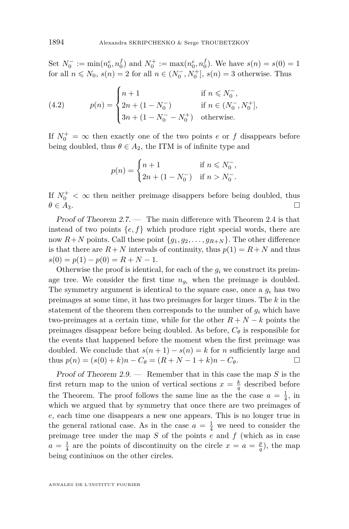Set  $N_0^- := \min(n_0^e, n_0^f)$  and  $N_0^+ := \max(n_0^e, n_0^f)$ . We have  $s(n) = s(0) = 1$ for all  $n \le N_0$ ,  $s(n) = 2$  for all  $n \in (N_0^-, N_0^+]$ ,  $s(n) = 3$  otherwise. Thus

(4.2) 
$$
p(n) = \begin{cases} n+1 & \text{if } n \le N_0^-, \\ 2n + (1 - N_0^-) & \text{if } n \in (N_0^-, N_0^+], \\ 3n + (1 - N_0^- - N_0^+) & \text{otherwise.} \end{cases}
$$

If  $N_0^+ = \infty$  then exactly one of the two points *e* or *f* disappears before being doubled, thus  $\theta \in A_2$ , the ITM is of infinite type and

$$
p(n) = \begin{cases} n+1 & \text{if } n \le N_0^-, \\ 2n + (1 - N_0^-) & \text{if } n > N_0^-. \end{cases}
$$

If  $N_0^+ < \infty$  then neither preimage disappers before being doubled, thus  $\theta \in A_3$ .

Proof of Theorem  $2.7.$  — The main difference with Theorem [2.4](#page-7-0) is that instead of two points  $\{e, f\}$  which produce right special words, there are now  $R+N$  points. Call these point  $\{g_1, g_2, \ldots, g_{R+N}\}\$ . The other difference is that there are  $R + N$  intervals of continuity, thus  $p(1) = R + N$  and thus  $s(0) = p(1) - p(0) = R + N - 1.$ 

Otherwise the proof is identical, for each of the  $g_i$  we construct its preimage tree. We consider the first time  $n_{g_i}$  when the preimage is doubled. The symmetry argument is identical to the square case, once a *g<sup>i</sup>* has two preimages at some time, it has two preimages for larger times. The *k* in the statement of the theorem then corresponds to the number of  $g_i$  which have two-preimages at a certain time, while for the other  $R + N - k$  points the preimages disappear before being doubled. As before, *C<sup>θ</sup>* is responsible for the events that happened before the moment when the first preimage was doubled. We conclude that  $s(n+1) - s(n) = k$  for *n* sufficiently large and  $t_{\text{thus}} p(n) = (s(0) + k)n - C_{\theta} = (R + N - 1 + k)n - C_{\theta}.$ 

Proof of Theorem [2.9.](#page-9-0) — Remember that in this case the map *S* is the first return map to the union of vertical sections  $x = \frac{k}{q}$  described before the Theorem. The proof follows the same line as the the case  $a = \frac{1}{4}$ , in which we argued that by symmetry that once there are two preimages of *e*, each time one disappears a new one appears. This is no longer true in the general rational case. As in the case  $a = \frac{1}{4}$  we need to consider the preimage tree under the map *S* of the points *e* and *f* (which as in case  $a = \frac{1}{4}$  are the points of discontinuity on the circle  $x = a = \frac{p}{q}$ , the map being continiuos on the other circles.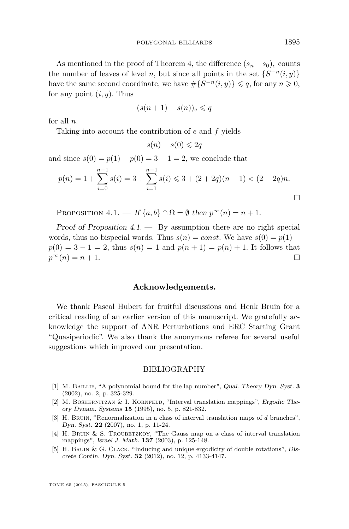<span id="page-15-0"></span>As mentioned in the proof of Theorem 4, the difference  $(s_n - s_0)_e$  counts the number of leaves of level *n*, but since all points in the set  $\{S^{-n}(i, y)\}$ have the same second coordinate, we have  $\#\{S^{-n}(i, y)\} \leq q$ , for any  $n \geq 0$ , for any point  $(i, y)$ . Thus

$$
(s(n+1)-s(n))_e \leqslant q
$$

for all *n*.

Taking into account the contribution of *e* and *f* yields

$$
s(n) - s(0) \leq 2q
$$

and since  $s(0) = p(1) - p(0) = 3 - 1 = 2$ , we conclude that

$$
p(n) = 1 + \sum_{i=0}^{n-1} s(i) = 3 + \sum_{i=1}^{n-1} s(i) \le 3 + (2+2q)(n-1) < (2+2q)n.
$$

PROPOSITION  $4.1.$  — If  $\{a, b\} \cap \Omega = \emptyset$  then  $p^{\infty}(n) = n + 1$ .

Proof of Proposition  $4.1.$  — By assumption there are no right special words, thus no bispecial words. Thus  $s(n) = const$ . We have  $s(0) = p(1)$  $p(0) = 3 - 1 = 2$ , thus  $s(n) = 1$  and  $p(n + 1) = p(n) + 1$ . It follows that  $p^{\infty}(n) = n + 1.$ 

#### **Acknowledgements.**

We thank Pascal Hubert for fruitful discussions and Henk Bruin for a critical reading of an earlier version of this manuscript. We gratefully acknowledge the support of ANR Perturbations and ERC Starting Grant "Quasiperiodic". We also thank the anonymous referee for several useful suggestions which improved our presentation.

#### BIBLIOGRAPHY

- [1] M. Baillif, "A polynomial bound for the lap number", Qual. Theory Dyn. Syst. **3** (2002), no. 2, p. 325-329.
- [2] M. BOSHERNITZAN & I. KORNFELD, "Interval translation mappings", Ergodic Theory Dynam. Systems **15** (1995), no. 5, p. 821-832.
- [3] H. BRUIN, "Renormalization in a class of interval translation maps of *d* branches", Dyn. Syst. **22** (2007), no. 1, p. 11-24.
- [4] H. Bruin & S. Troubetzkoy, "The Gauss map on a class of interval translation mappings", Israel J. Math. **137** (2003), p. 125-148.
- [5] H. BRUIN & G. CLACK, "Inducing and unique ergodicity of double rotations", Discrete Contin. Dyn. Syst. **32** (2012), no. 12, p. 4133-4147.